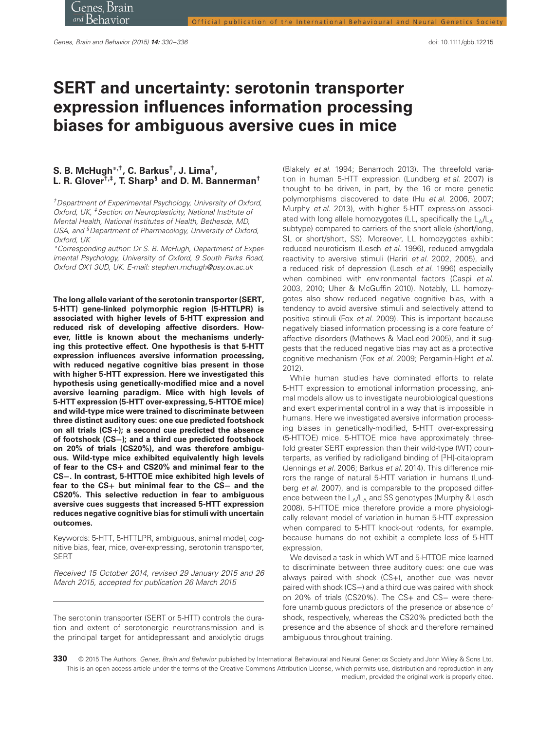# **SERT and uncertainty: serotonin transporter expression influences information processing biases for ambiguous aversive cues in mice**

# **S. B. McHugh∗***,***†, C. Barkus†, J. Lima†, L. R. Glover†***,***‡, T. Sharp§ and D. M. Bannerman†**

†Department of Experimental Psychology, University of Oxford, Oxford, UK, <sup>‡</sup> Section on Neuroplasticity, National Institute of Mental Health, National Institutes of Health, Bethesda, MD, USA, and <sup>§</sup> Department of Pharmacology, University of Oxford, Oxford, UK

\*Corresponding author: Dr S. B. McHugh, Department of Experimental Psychology, University of Oxford, 9 South Parks Road, Oxford OX1 3UD, UK. E-mail: stephen.mchugh@psy.ox.ac.uk

**The long allele variant of the serotonin transporter (SERT, 5-HTT) gene-linked polymorphic region (5-HTTLPR) is associated with higher levels of 5-HTT expression and reduced risk of developing affective disorders. However, little is known about the mechanisms underlying this protective effect. One hypothesis is that 5-HTT expression influences aversive information processing, with reduced negative cognitive bias present in those with higher 5-HTT expression. Here we investigated this hypothesis using genetically-modified mice and a novel aversive learning paradigm. Mice with high levels of 5-HTT expression (5-HTT over-expressing, 5-HTTOE mice) and wild-type mice were trained to discriminate between three distinct auditory cues: one cue predicted footshock on all trials (CS+); a second cue predicted the absence of footshock (CS−); and a third cue predicted footshock on 20% of trials (CS20%), and was therefore ambiguous. Wild-type mice exhibited equivalently high levels of fear to the CS+ and CS20% and minimal fear to the CS−. In contrast, 5-HTTOE mice exhibited high levels of fear to the CS+ but minimal fear to the CS− and the CS20%. This selective reduction in fear to ambiguous aversive cues suggests that increased 5-HTT expression reduces negative cognitive bias for stimuli with uncertain outcomes.**

Keywords: 5-HTT, 5-HTTLPR, ambiguous, animal model, cognitive bias, fear, mice, over-expressing, serotonin transporter, SERT

Received 15 October 2014, revised 29 January 2015 and 26 March 2015, accepted for publication 26 March 2015

The serotonin transporter (SERT or 5-HTT) controls the duration and extent of serotonergic neurotransmission and is the principal target for antidepressant and anxiolytic drugs (Blakely et al. 1994; Benarroch 2013). The threefold variation in human 5-HTT expression (Lundberg et al. 2007) is thought to be driven, in part, by the 16 or more genetic polymorphisms discovered to date (Hu et al. 2006, 2007; Murphy et al. 2013), with higher 5-HTT expression associated with long allele homozygotes (LL, specifically the  $L_A/L_A$ subtype) compared to carriers of the short allele (short/long, SL or short/short, SS). Moreover, LL homozygotes exhibit reduced neuroticism (Lesch et al. 1996), reduced amygdala reactivity to aversive stimuli (Hariri et al. 2002, 2005), and a reduced risk of depression (Lesch et al. 1996) especially when combined with environmental factors (Caspi et al. 2003, 2010; Uher & McGuffin 2010). Notably, LL homozygotes also show reduced negative cognitive bias, with a tendency to avoid aversive stimuli and selectively attend to positive stimuli (Fox et al. 2009). This is important because negatively biased information processing is a core feature of affective disorders (Mathews & MacLeod 2005), and it suggests that the reduced negative bias may act as a protective cognitive mechanism (Fox et al. 2009; Pergamin-Hight et al. 2012).

While human studies have dominated efforts to relate 5-HTT expression to emotional information processing, animal models allow us to investigate neurobiological questions and exert experimental control in a way that is impossible in humans. Here we investigated aversive information processing biases in genetically-modified, 5-HTT over-expressing (5-HTTOE) mice. 5-HTTOE mice have approximately threefold greater SERT expression than their wild-type (WT) counterparts, as verified by radioligand binding of [3H]-citalopram (Jennings et al. 2006; Barkus et al. 2014). This difference mirrors the range of natural 5-HTT variation in humans (Lundberg et al. 2007), and is comparable to the proposed difference between the  $L_A/L_A$  and SS genotypes (Murphy & Lesch 2008). 5-HTTOE mice therefore provide a more physiologically relevant model of variation in human 5-HTT expression when compared to 5-HTT knock-out rodents, for example, because humans do not exhibit a complete loss of 5-HTT expression.

We devised a task in which WT and 5-HTTOE mice learned to discriminate between three auditory cues: one cue was always paired with shock (CS+), another cue was never paired with shock (CS−) and a third cue was paired with shock on 20% of trials (CS20%). The CS+ and CS− were therefore unambiguous predictors of the presence or absence of shock, respectively, whereas the CS20% predicted both the presence and the absence of shock and therefore remained ambiguous throughout training.

<sup>330 © 2015</sup> The Authors. Genes, Brain and Behavior published by International Behavioural and Neural Genetics Society and John Wiley & Sons Ltd. This is an open access article under the terms of the Creative Commons Attribution License, which permits use, distribution and reproduction in any medium, provided the original work is properly cited.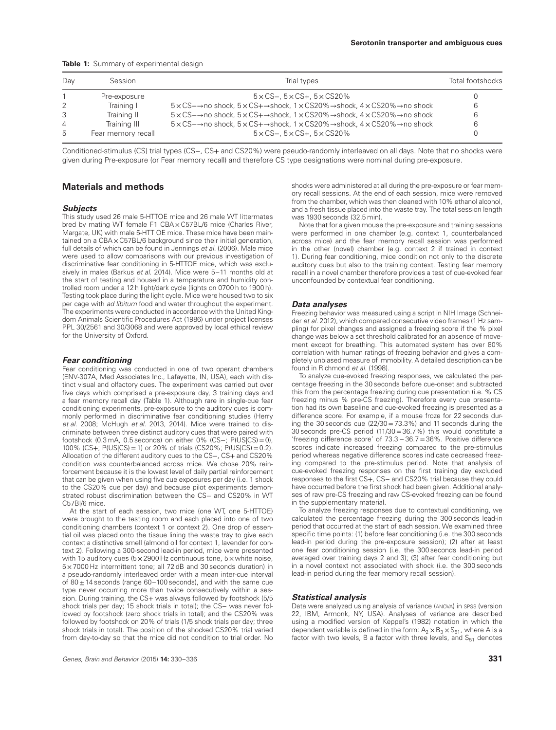|  |  |  |  | Table 1: Summary of experimental design |  |
|--|--|--|--|-----------------------------------------|--|
|--|--|--|--|-----------------------------------------|--|

| Dav            | Session            | Trial types                                                                                                                                                | <b>Total footshocks</b> |
|----------------|--------------------|------------------------------------------------------------------------------------------------------------------------------------------------------------|-------------------------|
|                | Pre-exposure       | $5 \times$ CS-, $5 \times$ CS+, $5 \times$ CS20%                                                                                                           |                         |
| $\mathcal{L}$  | Training I         | $5 \times$ CS- $\rightarrow$ no shock, $5 \times$ CS+ $\rightarrow$ shock, 1 $\times$ CS20% $\rightarrow$ shock, 4 $\times$ CS20% $\rightarrow$ no shock   | 6                       |
| 3              | Training II        | $5 \times$ CS- $\rightarrow$ no shock, $5 \times$ CS+ $\rightarrow$ shock, 1 $\times$ CS20% $\rightarrow$ shock, 4 $\times$ CS20% $\rightarrow$ no shock   | 6                       |
| $\overline{4}$ | Training III       | $5 \times$ CS $\rightarrow$ no shock, $5 \times$ CS $+$ $\rightarrow$ shock, 1 $\times$ CS20% $\rightarrow$ shock, 4 $\times$ CS20% $\rightarrow$ no shock | 6                       |
| .5             | Fear memory recall | $5 \times$ CS-, $5 \times$ CS+, $5 \times$ CS20%                                                                                                           |                         |

Conditioned-stimulus (CS) trial types (CS−, CS+ and CS20%) were pseudo-randomly interleaved on all days. Note that no shocks were given during Pre-exposure (or Fear memory recall) and therefore CS type designations were nominal during pre-exposure.

## **Materials and methods**

#### *Subjects*

This study used 26 male 5-HTTOE mice and 26 male WT littermates bred by mating WT female F1 CBA x C57BL/6 mice (Charles River, Margate, UK) with male 5-HTT OE mice. These mice have been maintained on a CBA x C57BL/6 background since their initial generation, full details of which can be found in Jennings et al. (2006). Male mice were used to allow comparisons with our previous investigation of discriminative fear conditioning in 5-HTTOE mice, which was exclusively in males (Barkus et al. 2014). Mice were 5-11 months old at the start of testing and housed in a temperature and humidity controlled room under a 12 h light/dark cycle (lights on 0700 h to 1900 h). Testing took place during the light cycle. Mice were housed two to six per cage with ad libitum food and water throughout the experiment. The experiments were conducted in accordance with the United Kingdom Animals Scientific Procedures Act (1986) under project licenses PPL 30/2561 and 30/3068 and were approved by local ethical review for the University of Oxford.

#### *Fear conditioning*

Fear conditioning was conducted in one of two operant chambers (ENV-307A, Med Associates Inc., Lafayette, IN, USA), each with distinct visual and olfactory cues. The experiment was carried out over five days which comprised a pre-exposure day, 3 training days and a fear memory recall day (Table 1). Although rare in single-cue fear conditioning experiments, pre-exposure to the auditory cues is commonly performed in discriminative fear conditioning studies (Herry et al. 2008; McHugh et al. 2013, 2014). Mice were trained to discriminate between three distinct auditory cues that were paired with footshock (0.3 mA, 0.5 seconds) on either 0% (CS−; P(US|CS)=0), 100% (CS+; P(US|CS)=1) or 20% of trials (CS20%; P(US|CS)=0.2). Allocation of the different auditory cues to the CS−, CS+ and CS20% condition was counterbalanced across mice. We chose 20% reinforcement because it is the lowest level of daily partial reinforcement that can be given when using five cue exposures per day (i.e. 1 shock to the CS20% cue per day) and because pilot experiments demonstrated robust discrimination between the CS− and CS20% in WT C57Bl/6 mice.

At the start of each session, two mice (one WT, one 5-HTTOE) were brought to the testing room and each placed into one of two conditioning chambers (context 1 or context 2). One drop of essential oil was placed onto the tissue lining the waste tray to give each context a distinctive smell (almond oil for context 1, lavender for context 2). Following a 300-second lead-in period, mice were presented with 15 auditory cues ( $5 \times 2900$  Hz continuous tone,  $5 \times$  white noise, 5 × 7000 Hz intermittent tone; all 72 dB and 30 seconds duration) in a pseudo-randomly interleaved order with a mean inter-cue interval of  $80 \pm 14$  seconds (range 60-100 seconds), and with the same cue type never occurring more than twice consecutively within a session. During training, the CS+ was always followed by footshock (5/5 shock trials per day; 15 shock trials in total); the CS− was never followed by footshock (zero shock trials in total); and the CS20% was followed by footshock on 20% of trials (1/5 shock trials per day; three shock trials in total). The position of the shocked CS20% trial varied from day-to-day so that the mice did not condition to trial order. No shocks were administered at all during the pre-exposure or fear memory recall sessions. At the end of each session, mice were removed from the chamber, which was then cleaned with 10% ethanol alcohol, and a fresh tissue placed into the waste tray. The total session length was 1930 seconds (32.5 min).

Note that for a given mouse the pre-exposure and training sessions were performed in one chamber (e.g. context 1, counterbalanced across mice) and the fear memory recall session was performed in the other (novel) chamber (e.g. context 2 if trained in context 1). During fear conditioning, mice condition not only to the discrete auditory cues but also to the training context. Testing fear memory recall in a novel chamber therefore provides a test of cue-evoked fear unconfounded by contextual fear conditioning.

#### *Data analyses*

Freezing behavior was measured using a script in NIH Image (Schneider et al. 2012), which compared consecutive video frames (1 Hz sampling) for pixel changes and assigned a freezing score if the % pixel change was below a set threshold calibrated for an absence of movement except for breathing. This automated system has over 80% correlation with human ratings of freezing behavior and gives a completely unbiased measure of immobility. A detailed description can be found in Richmond et al. (1998).

To analyze cue-evoked freezing responses, we calculated the percentage freezing in the 30 seconds before cue-onset and subtracted this from the percentage freezing during cue presentation (i.e. % CS freezing minus % pre-CS freezing). Therefore every cue presentation had its own baseline and cue-evoked freezing is presented as a difference score. For example, if a mouse froze for 22 seconds during the 30 seconds cue  $(22/30=73.3%)$  and 11 seconds during the 30 seconds pre-CS period (11/30=36.7%) this would constitute a 'freezing difference score' of 73.3−36.7=36%. Positive difference scores indicate increased freezing compared to the pre-stimulus period whereas negative difference scores indicate decreased freezing compared to the pre-stimulus period. Note that analysis of cue-evoked freezing responses on the first training day excluded responses to the first CS+, CS− and CS20% trial because they could have occurred before the first shock had been given. Additional analyses of raw pre-CS freezing and raw CS-evoked freezing can be found in the supplementary material.

To analyze freezing responses due to contextual conditioning, we calculated the percentage freezing during the 300 seconds lead-in period that occurred at the start of each session. We examined three specific time points: (1) before fear conditioning (i.e. the 300 seconds lead-in period during the pre-exposure session); (2) after at least one fear conditioning session (i.e. the 300 seconds lead-in period averaged over training days 2 and 3); (3) after fear conditioning but in a novel context not associated with shock (i.e. the 300 seconds lead-in period during the fear memory recall session).

#### *Statistical analysis*

Data were analyzed using analysis of variance (ANOVA) in SPSS (version 22, IBM, Armonk, NY, USA). Analyses of variance are described using a modified version of Keppel's (1982) notation in which the dependent variable is defined in the form:  $A_2 \times B_3 \times S_{51}$ , where A is a factor with two levels, B a factor with three levels, and  $S_{51}$  denotes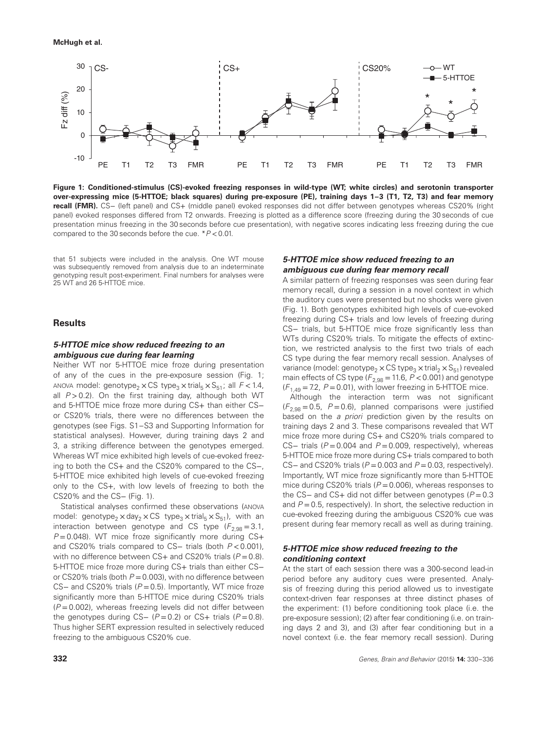

**Figure 1: Conditioned-stimulus (CS)-evoked freezing responses in wild-type (WT; white circles) and serotonin transporter over-expressing mice (5-HTTOE; black squares) during pre-exposure (PE), training days 1–3 (T1, T2, T3) and fear memory recall (FMR).** CS− (left panel) and CS+ (middle panel) evoked responses did not differ between genotypes whereas CS20% (right panel) evoked responses differed from T2 onwards. Freezing is plotted as a difference score (freezing during the 30 seconds of cue presentation minus freezing in the 30 seconds before cue presentation), with negative scores indicating less freezing during the cue compared to the 30 seconds before the cue. \*P *<*0.01.

that 51 subjects were included in the analysis. One WT mouse was subsequently removed from analysis due to an indeterminate genotyping result post-experiment. Final numbers for analyses were 25 WT and 26 5-HTTOE mice.

# **Results**

## *5-HTTOE mice show reduced freezing to an ambiguous cue during fear learning*

Neither WT nor 5-HTTOE mice froze during presentation of any of the cues in the pre-exposure session (Fig. 1; ANOVA model: genotype<sub>2</sub> × CS type<sub>3</sub> × trial<sub>5</sub> × S<sub>51</sub>; all  $F$  < 1.4, all  $P > 0.2$ ). On the first training day, although both WT and 5-HTTOE mice froze more during CS+ than either CS− or CS20% trials, there were no differences between the genotypes (see Figs. S1–S3 and Supporting Information for statistical analyses). However, during training days 2 and 3, a striking difference between the genotypes emerged. Whereas WT mice exhibited high levels of cue-evoked freezing to both the CS+ and the CS20% compared to the CS−, 5-HTTOE mice exhibited high levels of cue-evoked freezing only to the CS+, with low levels of freezing to both the CS20% and the CS− (Fig. 1).

Statistical analyses confirmed these observations (ANOVA model: genotype<sub>2</sub> × day<sub>2</sub> × CS type<sub>3</sub> × trial<sub>5</sub> × S<sub>51</sub>), with an interaction between genotype and CS type  $(F_{2,98} = 3.1,$  $P = 0.048$ ). WT mice froze significantly more during CS+ and CS20% trials compared to CS− trials (both P *<*0.001), with no difference between  $CS+$  and  $CS20\%$  trials ( $P=0.8$ ). 5-HTTOE mice froze more during CS+ trials than either CS− or CS20% trials (both  $P = 0.003$ ), with no difference between CS– and CS20% trials  $(P = 0.5)$ . Importantly, WT mice froze significantly more than 5-HTTOE mice during CS20% trials  $(P = 0.002)$ , whereas freezing levels did not differ between the genotypes during CS-  $(P = 0.2)$  or CS+ trials  $(P = 0.8)$ . Thus higher SERT expression resulted in selectively reduced freezing to the ambiguous CS20% cue.

# *5-HTTOE mice show reduced freezing to an ambiguous cue during fear memory recall*

A similar pattern of freezing responses was seen during fear memory recall, during a session in a novel context in which the auditory cues were presented but no shocks were given (Fig. 1). Both genotypes exhibited high levels of cue-evoked freezing during CS+ trials and low levels of freezing during CS− trials, but 5-HTTOE mice froze significantly less than WTs during CS20% trials. To mitigate the effects of extinction, we restricted analysis to the first two trials of each CS type during the fear memory recall session. Analyses of variance (model: genotype<sub>2</sub> × CS type<sub>3</sub> × trial<sub>2</sub> × S<sub>51</sub>) revealed main effects of CS type  $(F_{2,98} = 11.6, P < 0.001)$  and genotype  $(F<sub>1.49</sub> = 7.2, P = 0.01)$ , with lower freezing in 5-HTTOE mice.

Although the interaction term was not significant  $(F_{2,98} = 0.5, P = 0.6)$ , planned comparisons were justified based on the a priori prediction given by the results on training days 2 and 3. These comparisons revealed that WT mice froze more during CS+ and CS20% trials compared to CS– trials ( $P = 0.004$  and  $P = 0.009$ , respectively), whereas 5-HTTOE mice froze more during CS+ trials compared to both CS– and CS20% trials ( $P = 0.003$  and  $P = 0.03$ , respectively). Importantly, WT mice froze significantly more than 5-HTTOE mice during CS20% trials ( $P = 0.006$ ), whereas responses to the CS– and CS+ did not differ between genotypes (P = 0.3 and  $P = 0.5$ , respectively). In short, the selective reduction in cue-evoked freezing during the ambiguous CS20% cue was present during fear memory recall as well as during training.

# *5-HTTOE mice show reduced freezing to the conditioning context*

At the start of each session there was a 300-second lead-in period before any auditory cues were presented. Analysis of freezing during this period allowed us to investigate context-driven fear responses at three distinct phases of the experiment: (1) before conditioning took place (i.e. the pre-exposure session); (2) after fear conditioning (i.e. on training days 2 and 3), and (3) after fear conditioning but in a novel context (i.e. the fear memory recall session). During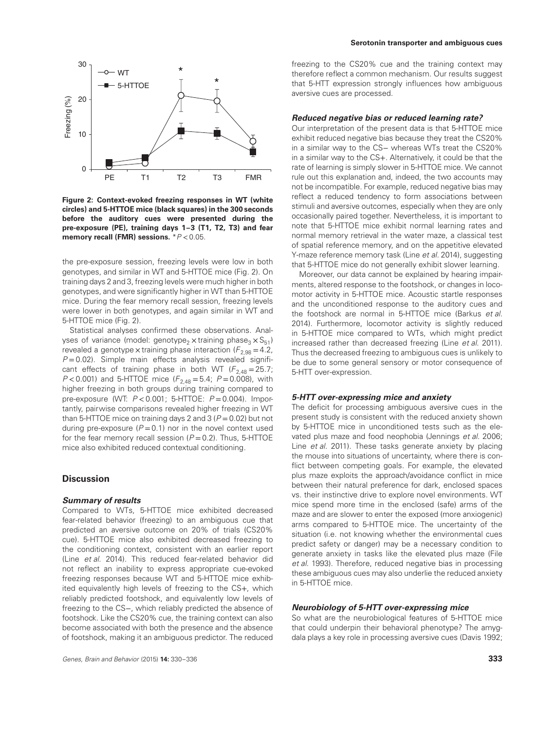#### **Serotonin transporter and ambiguous cues**



**Figure 2: Context-evoked freezing responses in WT (white circles) and 5-HTTOE mice (black squares) in the 300 seconds before the auditory cues were presented during the pre-exposure (PE), training days 1–3 (T1, T2, T3) and fear memory recall (FMR) sessions.** \*P *<*0.05.

the pre-exposure session, freezing levels were low in both genotypes, and similar in WT and 5-HTTOE mice (Fig. 2). On training days 2 and 3, freezing levels were much higher in both genotypes, and were significantly higher in WT than 5-HTTOE mice. During the fear memory recall session, freezing levels were lower in both genotypes, and again similar in WT and 5-HTTOE mice (Fig. 2).

Statistical analyses confirmed these observations. Analyses of variance (model: genotype<sub>2</sub> x training phase<sub>3</sub>  $\times$  S<sub>51</sub>) revealed a genotype x training phase interaction  $(F_{2,98} = 4.2,$  $P = 0.02$ ). Simple main effects analysis revealed significant effects of training phase in both WT ( $F_{2,48} = 25.7$ ;  $P < 0.001$ ) and 5-HTTOE mice  $(F_{2,48} = 5.4; P = 0.008)$ , with higher freezing in both groups during training compared to pre-exposure (WT: P *<*0.001; 5-HTTOE: P =0.004). Importantly, pairwise comparisons revealed higher freezing in WT than 5-HTTOE mice on training days 2 and 3 ( $P = 0.02$ ) but not during pre-exposure  $(P = 0.1)$  nor in the novel context used for the fear memory recall session  $(P = 0.2)$ . Thus, 5-HTTOE mice also exhibited reduced contextual conditioning.

# **Discussion**

#### *Summary of results*

Compared to WTs, 5-HTTOE mice exhibited decreased fear-related behavior (freezing) to an ambiguous cue that predicted an aversive outcome on 20% of trials (CS20% cue). 5-HTTOE mice also exhibited decreased freezing to the conditioning context, consistent with an earlier report (Line et al. 2014). This reduced fear-related behavior did not reflect an inability to express appropriate cue-evoked freezing responses because WT and 5-HTTOE mice exhibited equivalently high levels of freezing to the CS+, which reliably predicted footshock, and equivalently low levels of freezing to the CS−, which reliably predicted the absence of footshock. Like the CS20% cue, the training context can also become associated with both the presence and the absence of footshock, making it an ambiguous predictor. The reduced freezing to the CS20% cue and the training context may therefore reflect a common mechanism. Our results suggest that 5-HTT expression strongly influences how ambiguous aversive cues are processed.

#### *Reduced negative bias or reduced learning rate?*

Our interpretation of the present data is that 5-HTTOE mice exhibit reduced negative bias because they treat the CS20% in a similar way to the CS− whereas WTs treat the CS20% in a similar way to the CS+. Alternatively, it could be that the rate of learning is simply slower in 5-HTTOE mice. We cannot rule out this explanation and, indeed, the two accounts may not be incompatible. For example, reduced negative bias may reflect a reduced tendency to form associations between stimuli and aversive outcomes, especially when they are only occasionally paired together. Nevertheless, it is important to note that 5-HTTOE mice exhibit normal learning rates and normal memory retrieval in the water maze, a classical test of spatial reference memory, and on the appetitive elevated Y-maze reference memory task (Line et al. 2014), suggesting that 5-HTTOE mice do not generally exhibit slower learning.

Moreover, our data cannot be explained by hearing impairments, altered response to the footshock, or changes in locomotor activity in 5-HTTOE mice. Acoustic startle responses and the unconditioned response to the auditory cues and the footshock are normal in 5-HTTOE mice (Barkus et al. 2014). Furthermore, locomotor activity is slightly reduced in 5-HTTOE mice compared to WTs, which might predict increased rather than decreased freezing (Line et al. 2011). Thus the decreased freezing to ambiguous cues is unlikely to be due to some general sensory or motor consequence of 5-HTT over-expression.

## *5-HTT over-expressing mice and anxiety*

The deficit for processing ambiguous aversive cues in the present study is consistent with the reduced anxiety shown by 5-HTTOE mice in unconditioned tests such as the elevated plus maze and food neophobia (Jennings et al. 2006; Line et al. 2011). These tasks generate anxiety by placing the mouse into situations of uncertainty, where there is conflict between competing goals. For example, the elevated plus maze exploits the approach/avoidance conflict in mice between their natural preference for dark, enclosed spaces vs. their instinctive drive to explore novel environments. WT mice spend more time in the enclosed (safe) arms of the maze and are slower to enter the exposed (more anxiogenic) arms compared to 5-HTTOE mice. The uncertainty of the situation (i.e. not knowing whether the environmental cues predict safety or danger) may be a necessary condition to generate anxiety in tasks like the elevated plus maze (File et al. 1993). Therefore, reduced negative bias in processing these ambiguous cues may also underlie the reduced anxiety in 5-HTTOE mice.

#### *Neurobiology of 5-HTT over-expressing mice*

So what are the neurobiological features of 5-HTTOE mice that could underpin their behavioral phenotype? The amygdala plays a key role in processing aversive cues (Davis 1992;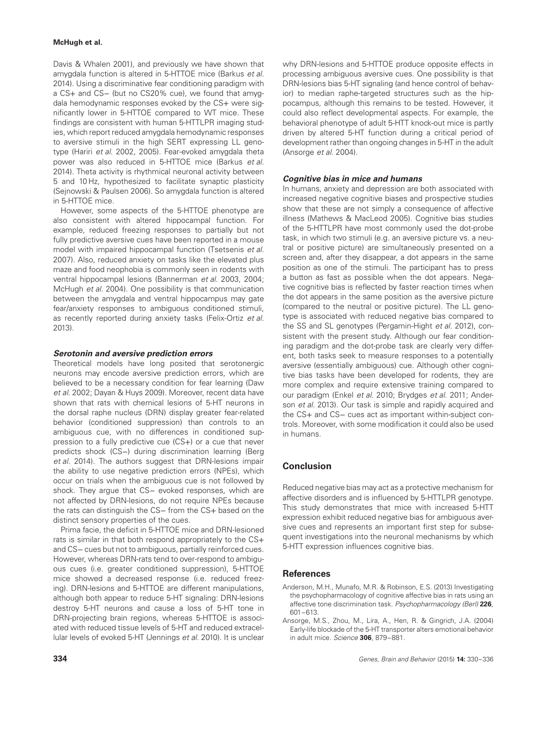## **McHugh et al.**

Davis & Whalen 2001), and previously we have shown that amygdala function is altered in 5-HTTOE mice (Barkus et al. 2014). Using a discriminative fear conditioning paradigm with a CS+ and CS− (but no CS20% cue), we found that amygdala hemodynamic responses evoked by the CS+ were significantly lower in 5-HTTOE compared to WT mice. These findings are consistent with human 5-HTTLPR imaging studies, which report reduced amygdala hemodynamic responses to aversive stimuli in the high SERT expressing LL genotype (Hariri et al. 2002, 2005). Fear-evoked amygdala theta power was also reduced in 5-HTTOE mice (Barkus et al. 2014). Theta activity is rhythmical neuronal activity between 5 and 10 Hz, hypothesized to facilitate synaptic plasticity (Sejnowski & Paulsen 2006). So amygdala function is altered in 5-HTTOE mice.

However, some aspects of the 5-HTTOE phenotype are also consistent with altered hippocampal function. For example, reduced freezing responses to partially but not fully predictive aversive cues have been reported in a mouse model with impaired hippocampal function (Tsetsenis et al. 2007). Also, reduced anxiety on tasks like the elevated plus maze and food neophobia is commonly seen in rodents with ventral hippocampal lesions (Bannerman et al. 2003, 2004; McHugh et al. 2004). One possibility is that communication between the amygdala and ventral hippocampus may gate fear/anxiety responses to ambiguous conditioned stimuli, as recently reported during anxiety tasks (Felix-Ortiz et al. 2013).

## *Serotonin and aversive prediction errors*

Theoretical models have long posited that serotonergic neurons may encode aversive prediction errors, which are believed to be a necessary condition for fear learning (Daw et al. 2002; Dayan & Huys 2009). Moreover, recent data have shown that rats with chemical lesions of 5-HT neurons in the dorsal raphe nucleus (DRN) display greater fear-related behavior (conditioned suppression) than controls to an ambiguous cue, with no differences in conditioned suppression to a fully predictive cue (CS+) or a cue that never predicts shock (CS−) during discrimination learning (Berg et al. 2014). The authors suggest that DRN-lesions impair the ability to use negative prediction errors (NPEs), which occur on trials when the ambiguous cue is not followed by shock. They argue that CS− evoked responses, which are not affected by DRN-lesions, do not require NPEs because the rats can distinguish the CS− from the CS+ based on the distinct sensory properties of the cues.

Prima facie, the deficit in 5-HTTOE mice and DRN-lesioned rats is similar in that both respond appropriately to the CS+ and CS− cues but not to ambiguous, partially reinforced cues. However, whereas DRN-rats tend to over-respond to ambiguous cues (i.e. greater conditioned suppression), 5-HTTOE mice showed a decreased response (i.e. reduced freezing). DRN-lesions and 5-HTTOE are different manipulations, although both appear to reduce 5-HT signaling: DRN-lesions destroy 5-HT neurons and cause a loss of 5-HT tone in DRN-projecting brain regions, whereas 5-HTTOE is associated with reduced tissue levels of 5-HT and reduced extracellular levels of evoked 5-HT (Jennings et al. 2010). It is unclear

why DRN-lesions and 5-HTTOE produce opposite effects in processing ambiguous aversive cues. One possibility is that DRN-lesions bias 5-HT signaling (and hence control of behavior) to median raphe-targeted structures such as the hippocampus, although this remains to be tested. However, it could also reflect developmental aspects. For example, the behavioral phenotype of adult 5-HTT knock-out mice is partly driven by altered 5-HT function during a critical period of development rather than ongoing changes in 5-HT in the adult (Ansorge et al. 2004).

#### *Cognitive bias in mice and humans*

In humans, anxiety and depression are both associated with increased negative cognitive biases and prospective studies show that these are not simply a consequence of affective illness (Mathews & MacLeod 2005). Cognitive bias studies of the 5-HTTLPR have most commonly used the dot-probe task, in which two stimuli (e.g. an aversive picture vs. a neutral or positive picture) are simultaneously presented on a screen and, after they disappear, a dot appears in the same position as one of the stimuli. The participant has to press a button as fast as possible when the dot appears. Negative cognitive bias is reflected by faster reaction times when the dot appears in the same position as the aversive picture (compared to the neutral or positive picture). The LL genotype is associated with reduced negative bias compared to the SS and SL genotypes (Pergamin-Hight et al. 2012), consistent with the present study. Although our fear conditioning paradigm and the dot-probe task are clearly very different, both tasks seek to measure responses to a potentially aversive (essentially ambiguous) cue. Although other cognitive bias tasks have been developed for rodents, they are more complex and require extensive training compared to our paradigm (Enkel et al. 2010; Brydges et al. 2011; Anderson et al. 2013). Our task is simple and rapidly acquired and the CS+ and CS− cues act as important within-subject controls. Moreover, with some modification it could also be used in humans.

## **Conclusion**

Reduced negative bias may act as a protective mechanism for affective disorders and is influenced by 5-HTTLPR genotype. This study demonstrates that mice with increased 5-HTT expression exhibit reduced negative bias for ambiguous aversive cues and represents an important first step for subsequent investigations into the neuronal mechanisms by which 5-HTT expression influences cognitive bias.

## **References**

- Anderson, M.H., Munafo, M.R. & Robinson, E.S. (2013) Investigating the psychopharmacology of cognitive affective bias in rats using an affective tone discrimination task. Psychopharmacology (Berl) **226**, 601–613.
- Ansorge, M.S., Zhou, M., Lira, A., Hen, R. & Gingrich, J.A. (2004) Early-life blockade of the 5-HT transporter alters emotional behavior in adult mice. Science **306**, 879–881.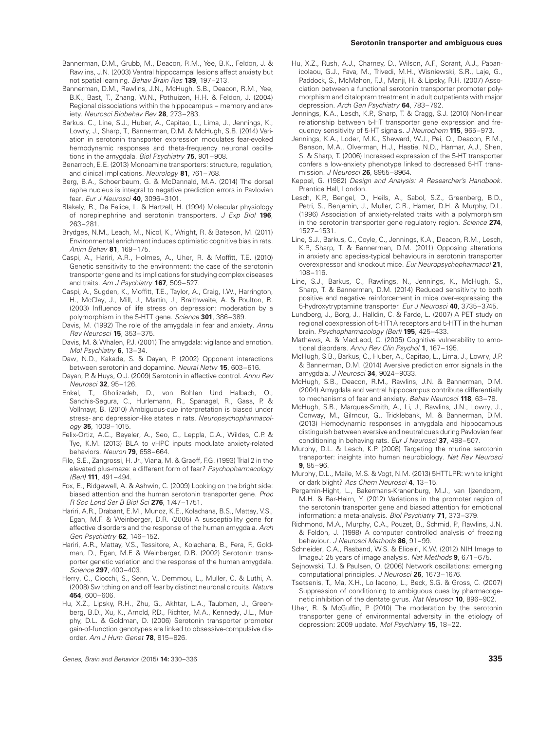- Bannerman, D.M., Grubb, M., Deacon, R.M., Yee, B.K., Feldon, J. & Rawlins, J.N. (2003) Ventral hippocampal lesions affect anxiety but not spatial learning. Behav Brain Res **139**, 197–213.
- Bannerman, D.M., Rawlins, J.N., McHugh, S.B., Deacon, R.M., Yee, B.K., Bast, T., Zhang, W.N., Pothuizen, H.H. & Feldon, J. (2004) Regional dissociations within the hippocampus – memory and anxiety. Neurosci Biobehav Rev **28**, 273–283.
- Barkus, C., Line, S.J., Huber, A., Capitao, L., Lima, J., Jennings, K., Lowry, J., Sharp, T., Bannerman, D.M. & McHugh, S.B. (2014) Variation in serotonin transporter expression modulates fear-evoked hemodynamic responses and theta-frequency neuronal oscillations in the amygdala. Biol Psychiatry **75**, 901–908.
- Benarroch, E.E. (2013) Monoamine transporters: structure, regulation, and clinical implications. Neurology **81**, 761–768.
- Berg, B.A., Schoenbaum, G. & McDannald, M.A. (2014) The dorsal raphe nucleus is integral to negative prediction errors in Pavlovian fear. Eur J Neurosci **40**, 3096–3101.
- Blakely, R., De Felice, L. & Hartzell, H. (1994) Molecular physiology of norepinephrine and serotonin transporters. J Exp Biol **196**, 263–281.
- Brydges, N.M., Leach, M., Nicol, K., Wright, R. & Bateson, M. (2011) Environmental enrichment induces optimistic cognitive bias in rats. Anim Behav **81**, 169–175.
- Caspi, A., Hariri, A.R., Holmes, A., Uher, R. & Moffitt, T.E. (2010) Genetic sensitivity to the environment: the case of the serotonin transporter gene and its implications for studying complex diseases and traits. Am J Psychiatry **167**, 509–527.
- Caspi, A., Sugden, K., Moffitt, T.E., Taylor, A., Craig, I.W., Harrington, H., McClay, J., Mill, J., Martin, J., Braithwaite, A. & Poulton, R. (2003) Influence of life stress on depression: moderation by a polymorphism in the 5-HTT gene. Science **301**, 386–389.
- Davis, M. (1992) The role of the amygdala in fear and anxiety. Annu Rev Neurosci **15**, 353–375.
- Davis, M. & Whalen, P.J. (2001) The amygdala: vigilance and emotion. Mol Psychiatry **6**, 13–34.
- Daw, N.D., Kakade, S. & Dayan, P. (2002) Opponent interactions between serotonin and dopamine. Neural Netw **15**, 603–616.
- Dayan, P. & Huys, Q.J. (2009) Serotonin in affective control. Annu Rev Neurosci **32**, 95–126.
- Enkel, T., Gholizadeh, D., von Bohlen Und Halbach, O., Sanchis-Segura, C., Hurlemann, R., Spanagel, R., Gass, P. & Vollmayr, B. (2010) Ambiguous-cue interpretation is biased under stress- and depression-like states in rats. Neuropsychopharmacology **35**, 1008–1015.
- Felix-Ortiz, A.C., Beyeler, A., Seo, C., Leppla, C.A., Wildes, C.P. & Tye, K.M. (2013) BLA to vHPC inputs modulate anxiety-related behaviors. Neuron **79**, 658–664.
- File, S.E., Zangrossi, H. Jr., Viana, M. & Graeff, F.G. (1993) Trial 2 in the elevated plus-maze: a different form of fear? Psychopharmacology (Berl) **111**, 491–494.
- Fox, E., Ridgewell, A. & Ashwin, C. (2009) Looking on the bright side: biased attention and the human serotonin transporter gene. Proc R Soc Lond Ser B Biol Sci **276**, 1747–1751.
- Hariri, A.R., Drabant, E.M., Munoz, K.E., Kolachana, B.S., Mattay, V.S., Egan, M.F. & Weinberger, D.R. (2005) A susceptibility gene for affective disorders and the response of the human amygdala. Arch Gen Psychiatry **62**, 146–152.
- Hariri, A.R., Mattay, V.S., Tessitore, A., Kolachana, B., Fera, F., Goldman, D., Egan, M.F. & Weinberger, D.R. (2002) Serotonin transporter genetic variation and the response of the human amygdala. Science **297**, 400–403.
- Herry, C., Ciocchi, S., Senn, V., Demmou, L., Muller, C. & Luthi, A. (2008) Switching on and off fear by distinct neuronal circuits. Nature **454**, 600–606.
- Hu, X.Z., Lipsky, R.H., Zhu, G., Akhtar, L.A., Taubman, J., Greenberg, B.D., Xu, K., Arnold, P.D., Richter, M.A., Kennedy, J.L., Murphy, D.L. & Goldman, D. (2006) Serotonin transporter promoter gain-of-function genotypes are linked to obsessive-compulsive disorder. Am J Hum Genet **78**, 815–826.
- Hu, X.Z., Rush, A.J., Charney, D., Wilson, A.F., Sorant, A.J., Papanicolaou, G.J., Fava, M., Trivedi, M.H., Wisniewski, S.R., Laje, G., Paddock, S., McMahon, F.J., Manji, H. & Lipsky, R.H. (2007) Association between a functional serotonin transporter promoter polymorphism and citalopram treatment in adult outpatients with major depression. Arch Gen Psychiatry **64**, 783–792.
- Jennings, K.A., Lesch, K.P., Sharp, T. & Cragg, S.J. (2010) Non-linear relationship between 5-HT transporter gene expression and frequency sensitivity of 5-HT signals. J Neurochem **115**, 965–973.
- Jennings, K.A., Loder, M.K., Sheward, W.J., Pei, Q., Deacon, R.M., Benson, M.A., Olverman, H.J., Hastie, N.D., Harmar, A.J., Shen, S. & Sharp, T. (2006) Increased expression of the 5-HT transporter confers a low-anxiety phenotype linked to decreased 5-HT transmission. J Neurosci **26**, 8955–8964.
- Keppel, G. (1982) Design and Analysis: A Researcher's Handbook. Prentice Hall, London.
- Lesch, K.P., Bengel, D., Heils, A., Sabol, S.Z., Greenberg, B.D., Petri, S., Benjamin, J., Muller, C.R., Hamer, D.H. & Murphy, D.L. (1996) Association of anxiety-related traits with a polymorphism in the serotonin transporter gene regulatory region. Science **274**, 1527–1531.
- Line, S.J., Barkus, C., Coyle, C., Jennings, K.A., Deacon, R.M., Lesch, K.P., Sharp, T. & Bannerman, D.M. (2011) Opposing alterations in anxiety and species-typical behaviours in serotonin transporter overexpressor and knockout mice. Eur Neuropsychopharmacol **21**, 108–116.
- Line, S.J., Barkus, C., Rawlings, N., Jennings, K., McHugh, S., Sharp, T. & Bannerman, D.M. (2014) Reduced sensitivity to both positive and negative reinforcement in mice over-expressing the 5-hydroxytryptamine transporter. Eur J Neurosci **40**, 3735–3745.
- Lundberg, J., Borg, J., Halldin, C. & Farde, L. (2007) A PET study on regional coexpression of 5-HT1A receptors and 5-HTT in the human brain. Psychopharmacology (Berl) **195**, 425–433.
- Mathews, A. & MacLeod, C. (2005) Cognitive vulnerability to emotional disorders. Annu Rev Clin Psychol **1**, 167–195.
- McHugh, S.B., Barkus, C., Huber, A., Capitao, L., Lima, J., Lowry, J.P. & Bannerman, D.M. (2014) Aversive prediction error signals in the amygdala. J Neurosci **34**, 9024–9033.
- McHugh, S.B., Deacon, R.M., Rawlins, J.N. & Bannerman, D.M. (2004) Amygdala and ventral hippocampus contribute differentially to mechanisms of fear and anxiety. Behav Neurosci **118**, 63–78.
- McHugh, S.B., Marques-Smith, A., Li, J., Rawlins, J.N., Lowry, J., Conway, M., Gilmour, G., Tricklebank, M. & Bannerman, D.M. (2013) Hemodynamic responses in amygdala and hippocampus distinguish between aversive and neutral cues during Pavlovian fear conditioning in behaving rats. Eur J Neurosci **37**, 498–507.
- Murphy, D.L. & Lesch, K.P. (2008) Targeting the murine serotonin transporter: insights into human neurobiology. Nat Rev Neurosci **9**, 85–96.
- Murphy, D.L., Maile, M.S. & Vogt, N.M. (2013) 5HTTLPR: white knight or dark blight? Acs Chem Neurosci **4**, 13–15.
- Pergamin-Hight, L., Bakermans-Kranenburg, M.J., van Ijzendoorn, M.H. & Bar-Haim, Y. (2012) Variations in the promoter region of the serotonin transporter gene and biased attention for emotional information: a meta-analysis. Biol Psychiatry **71**, 373–379.
- Richmond, M.A., Murphy, C.A., Pouzet, B., Schmid, P., Rawlins, J.N. & Feldon, J. (1998) A computer controlled analysis of freezing behaviour. J Neurosci Methods **86**, 91–99.
- Schneider, C.A., Rasband, W.S. & Eliceiri, K.W. (2012) NIH Image to ImageJ: 25 years of image analysis. Nat Methods **9**, 671–675.
- Sejnowski, T.J. & Paulsen, O. (2006) Network oscillations: emerging computational principles. J Neurosci **26**, 1673–1676.
- Tsetsenis, T., Ma, X.H., Lo Iacono, L., Beck, S.G. & Gross, C. (2007) Suppression of conditioning to ambiguous cues by pharmacogenetic inhibition of the dentate gyrus. Nat Neurosci **10**, 896–902.
- Uher, R. & McGuffin, P. (2010) The moderation by the serotonin transporter gene of environmental adversity in the etiology of depression: 2009 update. Mol Psychiatry **15**, 18–22.

Genes, Brain and Behavior (2015) **14:** 330–336 **335**

#### **Serotonin transporter and ambiguous cues**